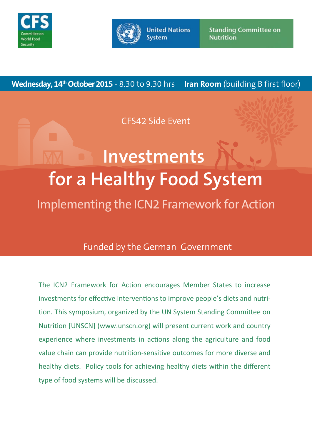



**United Nations System** 

**Standing Committee on Nutrition** 

**Iran Room** (building B first floor) **Wednesday, 14<sup>th</sup> October 2015** - 8.30 to 9.30 hrs

CFS42 Side Event

# **Investments for a Healthy Food System** Implementing the ICN2 Framework for Action

# Funded by the German Government

The ICN2 Framework for Action encourages Member States to increase investments for effective interventions to improve people's diets and nutrition. This symposium, organized by the UN System Standing Committee on Nutrition [UNSCN] (www.unscn.org) will present current work and country experience where investments in actions along the agriculture and food value chain can provide nutrition-sensitive outcomes for more diverse and healthy diets. Policy tools for achieving healthy diets within the different type of food systems will be discussed.